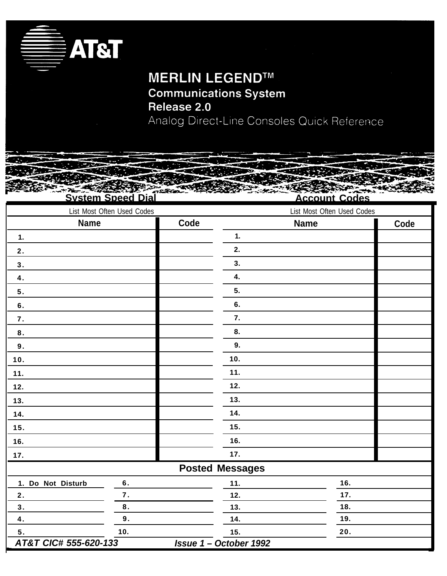

# **MERLIN LEGEND™ Communications System**

Release 2.0 Analog Direct-Line Consoles Quick Reference

**System Speed Dial**

**— — — — — Account Codes**

| List Most Often Used Codes |           | List Most Often Used Codes |                             |             |      |
|----------------------------|-----------|----------------------------|-----------------------------|-------------|------|
| <b>Name</b>                |           | Code                       |                             | <b>Name</b> | Code |
| 1.                         |           |                            | 1.                          |             |      |
| 2.                         |           |                            | 2.                          |             |      |
| 3.                         |           |                            | 3.                          |             |      |
| $\overline{4}$ .           |           |                            | 4.                          |             |      |
| 5.                         |           |                            | 5.                          |             |      |
| 6.                         |           |                            | 6.                          |             |      |
| 7.                         |           |                            | 7.                          |             |      |
| $\bf 8$ .                  |           |                            | 8.                          |             |      |
| 9.                         |           |                            | 9.                          |             |      |
| 10.                        |           |                            | 10.                         |             |      |
| 11.                        |           |                            | 11.                         |             |      |
| 12.                        |           |                            | 12.                         |             |      |
| 13.                        |           |                            | 13.                         |             |      |
| 14.                        |           |                            | 14.                         |             |      |
| 15.                        |           |                            | 15.                         |             |      |
| 16.                        |           |                            | 16.                         |             |      |
| 17.                        |           |                            | 17.                         |             |      |
|                            |           |                            | <b>Posted Messages</b>      |             |      |
| 1. Do Not Disturb          | $\bf 6$ . |                            | 11.                         | 16.         |      |
| 2.                         | 7.        |                            | 12.                         | 17.         |      |
| 3.                         | $\bf 8$ . |                            | 13.                         | 18.         |      |
| $\overline{\mathbf{4}}$ .  | 9.        |                            | 14.                         | 19.         |      |
| 5.                         | 10.       |                            | 15.                         | 20.         |      |
| AT&T CIC# 555-620-133      |           |                            | <b>Issue 1-October 1992</b> |             |      |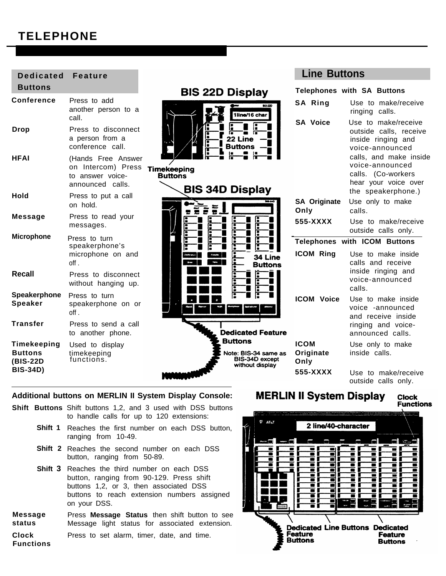# **TELEPHONE**

| <b>Dedicated</b>                          | <b>Feature</b>                                                                   |                                                                             | <b>Line Buttons</b>              |                                                                                         |
|-------------------------------------------|----------------------------------------------------------------------------------|-----------------------------------------------------------------------------|----------------------------------|-----------------------------------------------------------------------------------------|
| <b>Buttons</b>                            |                                                                                  | <b>BIS 22D Display</b>                                                      |                                  | <b>Telephones with SA Buttons</b>                                                       |
| Conference                                | Press to add<br>another person to a<br>call.                                     | 83-220<br>1line/16 char                                                     | SA Ring                          | Use to make/receive<br>ringing calls.                                                   |
| <b>Drop</b>                               | Press to disconnect<br>a person from a<br>conference call.                       | 22 Line<br><b>Buttons</b>                                                   | <b>SA Voice</b>                  | Use to make/receive<br>outside calls, receive<br>inside ringing and<br>voice-announced  |
| <b>HFAI</b>                               | (Hands Free Answer<br>on Intercom) Press<br>to answer voice-<br>announced calls. | Timekeeping<br><b>Buttons</b><br><b>BIS 34D Display</b>                     |                                  | calls, and make inside<br>voice-announced<br>calls. (Co-workers<br>hear your voice over |
| Hold                                      | Press to put a call<br>on hold.                                                  |                                                                             | <b>SA Originate</b><br>Only      | the speakerphone.)<br>Use only to make<br>calls.                                        |
| <b>Message</b>                            | Press to read your<br>messages.                                                  |                                                                             | 555-XXXX                         | Use to make/receive<br>outside calls only.                                              |
| <b>Microphone</b>                         | Press to turn                                                                    |                                                                             |                                  | <b>Telephones with ICOM Buttons</b>                                                     |
|                                           | speakerphone's<br>microphone on and<br>$of f$ .                                  | 34 Line<br><b>Buttons</b>                                                   | <b>ICOM Ring</b>                 | Use to make inside<br>calls and receive                                                 |
| <b>Recall</b>                             | Press to disconnect<br>without hanging up.                                       |                                                                             |                                  | inside ringing and<br>voice-announced<br>calls.                                         |
| Speakerphone<br><b>Speaker</b>            | Press to turn<br>speakerphone on or<br>off.                                      |                                                                             | <b>ICOM Voice</b>                | Use to make inside<br>voice -announced<br>and receive inside                            |
| <b>Transfer</b>                           | Press to send a call<br>to another phone.                                        | <b>Dedicated Feature</b>                                                    |                                  | ringing and voice-<br>announced calls.                                                  |
| Timekeeping<br><b>Buttons</b><br>(BIS-22D | Used to display<br>timekeeping<br>functions.                                     | <b>Buttons</b><br>Note: BIS-34 same as<br>BIS-34D except<br>without display | <b>ICOM</b><br>Originate<br>Only | Use only to make<br>inside calls.                                                       |
| <b>BIS-34D)</b>                           |                                                                                  |                                                                             | 555-XXXX                         | Use to make/receive<br>outside calls only.                                              |

### **Additional buttons on MERLIN II System Display Console:**

- **Shift Buttons** Shift buttons 1,2, and 3 used with DSS buttons to handle calls for up to 120 extensions:
	- Shift 1 Reaches the first number on each DSS button, ranging from 10-49.
	- Shift 2 Reaches the second number on each DSS button, ranging from 50-89.
	- Shift 3 Reaches the third number on each DSS button, ranging from 90-129. Press shift buttons 1,2, or 3, then associated DSS buttons to reach extension numbers assigned on your DSS.
- Press **Message Status** then shift button to see Message light status for associated extension. Press to set alarm, timer, date, and time. **Message status Clock Functions**

#### **MERLIN II System Display Clock**

**Functions** 

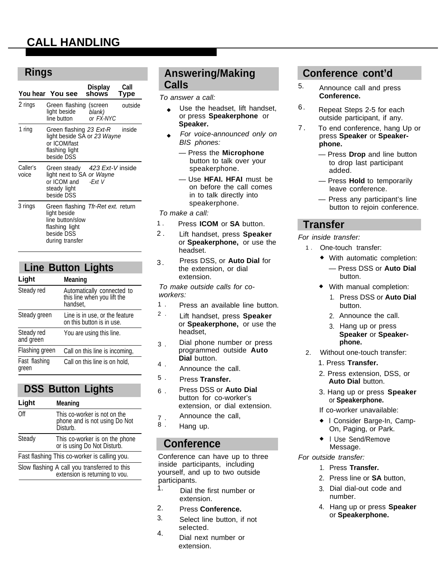# **CALL HANDLING**

## **Rings**

|                                                                                                                                      |                                                                                        | <b>Display</b>             | Call                                                      | Calls                                                                                                    | 5. |
|--------------------------------------------------------------------------------------------------------------------------------------|----------------------------------------------------------------------------------------|----------------------------|-----------------------------------------------------------|----------------------------------------------------------------------------------------------------------|----|
|                                                                                                                                      | You hear You see                                                                       | shows                      | Type                                                      | To answer a call:                                                                                        |    |
| 2 rings                                                                                                                              | Green flashing (screen<br>light beside<br>line button                                  | blank)<br>or FX-NYC        | outside                                                   | Use the headset, lift handset,<br>or press Speakerphone or<br>Speaker.                                   | 6. |
| 1 ring                                                                                                                               | Green flashing 23 Ext-R<br>light beside SA or 23 Wayne<br>or ICOM/fast                 |                            | inside                                                    | For voice-announced only on<br>BIS phones:                                                               | 7. |
| flashing light<br>beside DSS                                                                                                         |                                                                                        |                            | — Press the <b>Microphone</b><br>button to talk over your |                                                                                                          |    |
| Caller's<br>voice                                                                                                                    | Green steady<br>light next to SA or Wayne<br>or ICOM and<br>steady light<br>beside DSS | 423 Ext-V inside<br>-Ext V |                                                           | speakerphone.<br>- Use <b>HFAI. HFAI</b> must be<br>on before the call comes<br>in to talk directly into |    |
| 3 rings<br>Green flashing Tfr-Ret ext. return<br>light beside<br>line button/slow<br>flashing light<br>beside DSS<br>during transfer |                                                                                        |                            |                                                           | speakerphone.<br>To make a call:                                                                         |    |
|                                                                                                                                      |                                                                                        |                            |                                                           | Press ICOM or SA button.<br>1.<br>$2$ .<br>Lift handset, press Speaker                                   |    |
|                                                                                                                                      |                                                                                        |                            |                                                           | or <b>Speakerphone</b> , or use the                                                                      |    |

## **Line Button Lights**

#### **Light Meaning**

| Steady red              | Automatically connected to<br>this line when you lift the<br>handset, |
|-------------------------|-----------------------------------------------------------------------|
| Steady green            | Line is in use, or the feature<br>on this button is in use.           |
| Steady red<br>and green | You are using this line.                                              |
| Flashing green          | Call on this line is incoming,                                        |
| Fast flashing<br>green  | Call on this line is on hold,                                         |

# **DSS Button Lights**

| Light  | Meaning                                                                   |
|--------|---------------------------------------------------------------------------|
| Off    | This co-worker is not on the<br>phone and is not using Do Not<br>Disturb. |
| Steady | This co-worker is on the phone<br>or is using Do Not Disturb.             |
|        | Fast flashing This co-worker is calling you.                              |
|        |                                                                           |

Slow flashing A call you transferred to this extension is returning to vou.

# **Answering/Making Calls**

- Use the headset, lift handset, or press **Speakerphone** or **Speaker.**
- For voice-announced only on BIS phones:
	- Press the **Microphone** button to talk over your speakerphone.
	- Use **HFAI. HFAI** must be on before the call comes in to talk directly into speakerphone.

#### To make a call:

- 1 . Press **ICOM** or **SA** button.
- 2 . Lift handset, press **Speaker** or **Speakerphone,** or use the headset.
- 3. Press DSS, or **Auto Dial** for the extension, or dial extension.

To make outside calls for coworkers:

- 1 . Press an available line button.
- 2 . Lift handset, press **Speaker** or **Speakerphone,** or use the headset,
- 3 . Dial phone number or press programmed outside **Auto Dial** button.
- 4 . Announce the call.
- 5 . Press **Transfer.**
- 6 . Press DSS or **Auto Dial** button for co-worker's extension, or dial extension.
- 7 . Announce the call,
- 8 . Hang up.

# **Conference**

Conference can have up to three inside participants, including yourself, and up to two outside participants. 1.

- Dial the first number or extension.
- Press **Conference.** 2.
- Select line button, if not selected. 3.
- Dial next number or extension. 4.

# **Conference cont'd**

- 5. Announce call and press **Conference.**
- 6. Repeat Steps 2-5 for each outside participant, if any.
- To end conference, hang Up or press **Speaker** or **Speakerphone.**
	- Press **Drop** and line button to drop last participant added.
	- Press **Hold** to temporarily leave conference.
	- Press any participant's line button to rejoin conference.

## **Transfer**

- For inside transfer:
	- 1 . One-touch transfer:
		- ◆ With automatic completion:
			- Press DSS or **Auto Dial** button.
		- With manual completion:
			- 1. Press DSS or **Auto Dial** button.
			- 2. Announce the call.
			- 3. Hang up or press **Speaker** or **Speakerphone.**
	- 2. Without one-touch transfer:
		- 1. Press **Transfer.**
		- 2. Press extension, DSS, or **Auto Dial** button.
		- 3. Hang up or press **Speaker** or **Speakerphone.**
		- If co-worker unavailable:
		- ◆ l Consider Barge-In, Camp-On, Paging, or Park.
		- I Use Send/Remove Message.

### For outside transfer:

- 1. Press **Transfer.**
- 2. Press line or **SA** button,
- 3. Dial dial-out code and number.
- 4. Hang up or press **Speaker** or **Speakerphone.**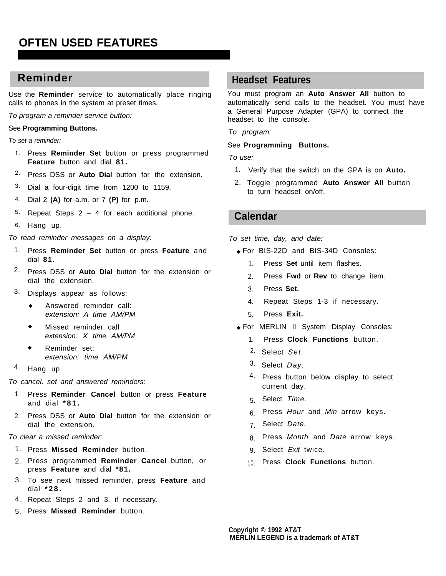# **OFTEN USED FEATURES**

Use the **Reminder** service to automatically place ringing calls to phones in the system at preset times.

To program a reminder service button:

#### See **Programming Buttons.**

To set a reminder:

- 1. Press **Reminder Set** button or press programmed **Feature** button and dial **81.**
- 2. Press DSS or **Auto Dial** button for the extension.
- <sup>3</sup>. Dial a four-digit time from 1200 to 1159.
- 4. Dial 2 **(A)** for a.m. or 7 **(P)** for p.m.
- 5. Repeat Steps  $2 - 4$  for each additional phone.
- 6. Hang up.

To read reminder messages on a display:

- 1. Press **Reminder Set** button or press **Feature** and dial **81.**
- 2. Press DSS or **Auto Dial** button for the extension or dial the extension.
- 3. Displays appear as follows:
	- ◆ Answered reminder call: extension: A time AM/PM
	- Missed reminder call extension: X time AM/PM
	- Reminder set: extension: time AM/PM
- 4. Hang up.

To cancel, set and answered reminders:

- 1. Press Reminder Cancel button or press Feature and dial **\*81.**
- 2. Press DSS or Auto Dial button for the extension or dial the extension.

### To clear a missed reminder:

- 1. Press Missed Reminder button. **Exit and Solution** B. Select Exit twice.
- 2. Press programmed Reminder Cancel button, or press **Feature** and dial **\*81.**
- 3. To see next missed reminder, press Feature and dial **\*28.**
- 4. Repeat Steps 2 and 3, if necessary.
- 5. Press Missed Reminder button.

# **Reminder Headset Features**

You must program an **Auto Answer All** button to automatically send calls to the headset. You must have a General Purpose Adapter (GPA) to connect the headset to the console.

To program:

#### See **Programming Buttons.**

To use:

- 1. Verify that the switch on the GPA is on **Auto.**
- 2. Toggle programmed **Auto Answer All** button to turn headset on/off.

## **Calendar**

- To set time, day, and date:
	- ◆ For BIS-22D and BIS-34D Consoles:
		- 1. Press **Set** until item flashes.
		- 2. Press **Fwd** or **Rev** to change item.
		- 3. Press **Set.**
		- 4. Repeat Steps 1-3 if necessary.
		- 5. Press **Exit.**
	- ◆ For MERLIN II System Display Consoles:
		- 1. Press **Clock Functions** button.
		- <sup>2.</sup> Select S*et.*
		- <sup>3.</sup> Select Day.
		- 4. Press button below display to select current day.
		- 5. Select Time.
		- 6. Press *Hour* and *Min* arrow keys.
		- 7. Select Date.
		- 8. Press *Month* and *Date* arrow keys.
		- 9. Select Exit twice.
		- 10. Press **Clock Functions** button.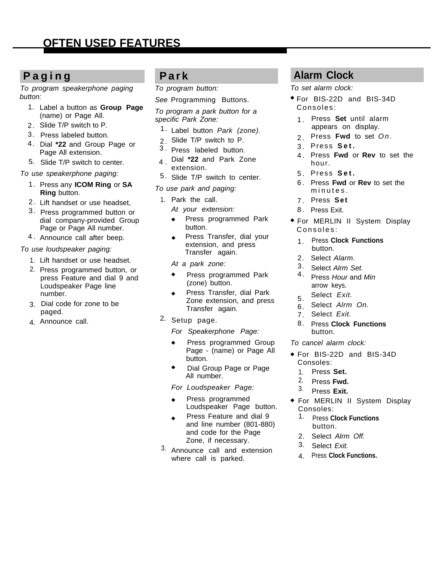To program speakerphone paging button:

- 1. Label a button as **Group Page** (name) or Page All.
- 2. Slide T/P switch to P.
- 3. Press labeled button.
- 4. Dial **\*22** and Group Page or Page All extension.
- 5. Slide T/P switch to center.

### To use speakerphone paging:

- 1. Press any **ICOM Ring** or **SA Ring** button.
- 2. Lift handset or use headset,  $1.$
- 3. Press programmed button or dial company-provided Group Page or Page All number.
- 4. Announce call after beep.

To use loudspeaker paging:

- 1. Lift handset or use headset.
- 2. Press programmed button, or press Feature and dial 9 and Loudspeaker Page line number.
- 3. Dial code for zone to be paged.
- 4. Announce call.

To program button:

See Programming Buttons.

To program a park button for a specific Park Zone:

- 1. Label button Park (zone).
- 2. Slide T/P switch to P.
- 3 . Press labeled button.
- 4 . Dial **\*22** and Park Zone extension.
- 5. Slide T/P switch to center.
- To use park and paging:
	- Park the call.
		- At your extension:
		- ◆ Press programmed Park button.
		- ◆ Press Transfer, dial your extension, and press Transfer again.
		- At a park zone:
		- ◆ Press programmed Park (zone) button.
		- Press Transfer, dial Park Zone extension, and press Transfer again.
- 2. Setup page.

For Speakerphone Page:

- ◆ Press programmed Group Page - (name) or Page All button.
- Dial Group Page or Page All number.

For Loudspeaker Page:

- Press programmed Loudspeaker Page button.
- Press Feature and dial 9 and line number (801-880) and code for the Page Zone, if necessary.
- <sup>3.</sup> Announce call and extension where call is parked.

# **Paging Park Alarm Clock**

To set alarm clock:

- ◆ For BIS-22D and BIS-34D Consoles :
	- 1. Press **Set** until alarm appears on display.
	- 2. Press **Fwd** to set On.
	- 3. Press **Set .**
	- 4. Press **Fwd** or **Rev** to set the hour.
	- 5. Press **Set .**
	- 6. Press **Fwd** or **Rev** to set the minutes .
	- 7. Press **Set**
	- 8. Press Exit.
- ◆ For MERLIN II System Display Consoles :
	- 1. Press **Clock Functions** button.
	- 2. Select Alarm.
	- 3. Select Alrm Set.
	- 4. Press Hour and Min arrow keys.
	- 5. Select Exit.
	- 6. Select Alrm On.
	- 7. Select Exit.
	- 8. Press **Clock Functions** button.
- To cancel alarm clock:
- ◆ For BIS-22D and BIS-34D Consoles:
	- Press **Set.** 1.
	- Press **Fwd.** 2.
	- Press **Exit.** 3.
- ◆ For MERLIN II System Display Consoles:
	- Press **Clock Functions** button. 1.
	- 2. Select Alrm Off.
	- Select Exit. 3.
	- Press **Clock Functions.** 4.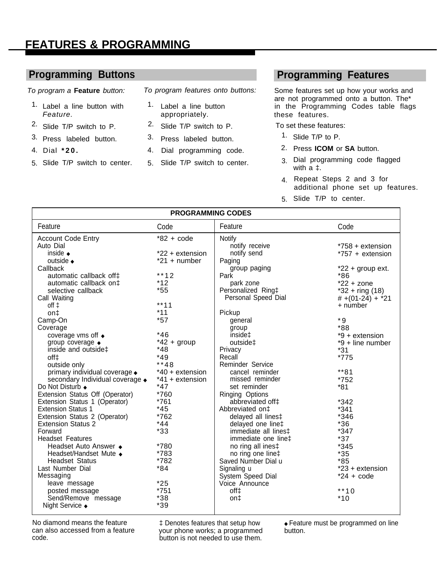# **FEATURES & PROGRAMMING**

### **Programming Buttons**

To program a **Feature** button:

- 1. Label a line button with Feature.
- <sup>2.</sup> Slide T/P switch to P.
- 3. Press labeled button.
- 4. Dial **\*20.**
- 5. Slide T/P switch to center.

To program features onto buttons:

- 1. Label a line button appropriately.
- 2. Slide T/P switch to P.
- 3. Press labeled button.
- 4. Dial programming code.
- 5. Slide T/P switch to center.

## **Programming Features**

Some features set up how your works and are not programmed onto a button. The\* in the Programming Codes table flags these features.

To set these features:

- 1. Slide T/P to P.
- 2. Press **ICOM** or **SA** button.
- 3. Dial programming code flagged with a ‡.
- 4. Repeat Steps 2 and 3 for additional phone set up features.
- 5. Slide T/P to center.

| <b>PROGRAMMING CODES</b>                |                 |                              |                    |  |
|-----------------------------------------|-----------------|------------------------------|--------------------|--|
| Feature                                 | Code            | Feature                      | Code               |  |
| <b>Account Code Entry</b>               | $*82 + code$    | <b>Notify</b>                |                    |  |
| Auto Dial                               |                 | notify receive               | *758 + extension   |  |
| inside $\bullet$                        | *22 + extension | notify send                  | *757 + extension   |  |
| outside $\bullet$                       | $*21 + number$  | Paging                       |                    |  |
| Callback                                |                 | group paging                 | $*22 + group ext.$ |  |
| automatic callback off‡                 | **12            | Park                         | $*86$              |  |
| automatic callback on $\ddagger$        | $*12$           | park zone                    | $*22 + zone$       |  |
| selective callback                      | $*55$           | Personalized Ring‡           | $*32 + ring (18)$  |  |
| Call Waiting                            |                 | Personal Speed Dial          | $#+(01-24) + *21$  |  |
| $off \downarrow$                        | $***11$         |                              | $+$ number         |  |
| on‡                                     | $*11$           | Pickup                       |                    |  |
| Camp-On                                 | $*57$           | general                      | $*9$               |  |
| Coverage                                |                 | group                        | *88                |  |
| coverage vms off +                      | $*46$           | inside‡                      | $*9 +$ extension   |  |
| group coverage +                        | $*42 + group$   | outside‡                     | *9 + line number   |  |
| inside and outside‡                     | $*48$           | Privacy                      | $*31$              |  |
| off‡                                    | $*49$           | Recall                       | *775               |  |
| outside only                            | **48            | Reminder Service             |                    |  |
| primary individual coverage $\bullet$   | *40 + extension | cancel reminder              | **81               |  |
| secondary Individual coverage $\bullet$ | *41 + extension | missed reminder              | *752               |  |
| Do Not Disturb ◆                        | $*47$           | set reminder                 | $*81$              |  |
| Extension Status Off (Operator)         | *760            | <b>Ringing Options</b>       |                    |  |
| Extension Status 1 (Operator)           | *761            | abbreviated off <sup>+</sup> | $*342$             |  |
| <b>Extension Status 1</b>               | $*45$           | Abbreviated on <sup>±</sup>  | $*341$             |  |
| Extension Status 2 (Operator)           | *762            | delayed all lines‡           | *346               |  |
| <b>Extension Status 2</b>               | $*44$           | delayed one line‡            | $*36$              |  |
| Forward                                 | $*33$           | immediate all lines‡         | $*347$             |  |
| <b>Headset Features</b>                 |                 | immediate one line‡          | $*37$              |  |
| Headset Auto Answer ◆                   | *780            | no ring all ines‡            | *345               |  |
| Headset/Handset Mute +                  | *783            | no ring one line‡            | $*35$              |  |
| <b>Headset Status</b>                   | *782            | Saved Number Dial u          | $*85$              |  |
| Last Number Dial                        | $*84$           | Signaling u                  | $*23 +$ extension  |  |
| Messaging                               |                 | System Speed Dial            | $*24 + code$       |  |
| leave message                           | $*25$           | Voice Announce               |                    |  |
| posted message                          | *751            | off‡                         | $**10$             |  |
| Send/Remove message                     | $*38$           | on‡                          | $*10$              |  |
| Night Service ◆                         | $*39$           |                              |                    |  |

can also accessed from a feature your phone works; a programmed button.<br>code. button is not needed to use them button is not needed to use them.

No diamond means the feature  $\begin{array}{cc}\n \downarrow \text{Denotes features that setup how} \\
\downarrow \text{Neutrino} \\
\downarrow \text{Concremeal} \\
\downarrow \text{Concremeal} \\
\downarrow \text{Concremeal} \\
\downarrow \text{Concremeal} \\
\downarrow \text{Concremeal} \\
\downarrow \text{Concremeal} \\
\downarrow \text{Concremeal} \\
\downarrow \text{Concremeal} \\
\downarrow \text{Concremeal} \\
\downarrow \text{Concremeal} \\
\downarrow \text{Concremeal} \\
\downarrow \text{Concremeal} \\
\downarrow \text{Concremeal} \\
\down$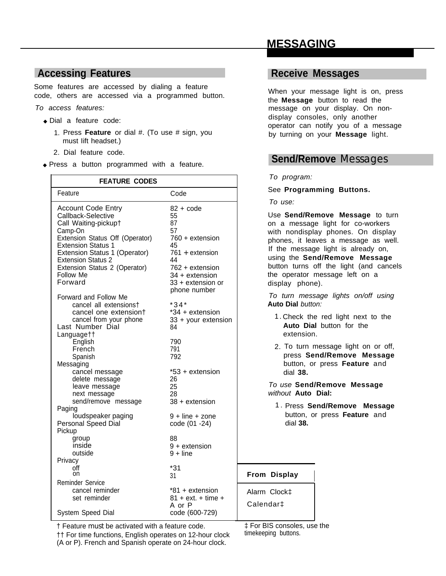# **MESSAGING**

# **Accessing Features**

Some features are accessed by dialing a feature code, others are accessed via a programmed button.

To access features:

- ◆ Dial a feature code:
	- 1. Press **Feature** or dial #. (To use # sign, you must Iift headset.)
	- 2. Dial feature code.
- ◆ Press a button programmed with a feature.

| <b>FEATURE CODES</b>                                                                                                                                                                                                                                                                                                                                                                                                                                                                                                                                                                                                                                                 | To prog.                                                                                                                                                                                                                                                                                                                                                                                |                                                                                                                                                                                                                                                                              |
|----------------------------------------------------------------------------------------------------------------------------------------------------------------------------------------------------------------------------------------------------------------------------------------------------------------------------------------------------------------------------------------------------------------------------------------------------------------------------------------------------------------------------------------------------------------------------------------------------------------------------------------------------------------------|-----------------------------------------------------------------------------------------------------------------------------------------------------------------------------------------------------------------------------------------------------------------------------------------------------------------------------------------------------------------------------------------|------------------------------------------------------------------------------------------------------------------------------------------------------------------------------------------------------------------------------------------------------------------------------|
| Feature                                                                                                                                                                                                                                                                                                                                                                                                                                                                                                                                                                                                                                                              | Code                                                                                                                                                                                                                                                                                                                                                                                    | See Pro                                                                                                                                                                                                                                                                      |
| <b>Account Code Entry</b><br>Callback-Selective<br>Call Waiting-pickup†<br>Camp-On<br>Extension Status Off (Operator)<br><b>Extension Status 1</b><br>Extension Status 1 (Operator)<br><b>Extension Status 2</b><br>Extension Status 2 (Operator)<br>Follow Me<br>Forward<br>Forward and Follow Me<br>cancel all extensions†<br>cancel one extension+<br>cancel from your phone<br>Last Number Dial<br>Languagett<br>English<br>French<br>Spanish<br>Messaging<br>cancel message<br>delete message<br>leave message<br>next message<br>send/remove message<br>Paging<br>loudspeaker paging<br>Personal Speed Dial<br>Pickup<br>group<br>inside<br>outside<br>Privacy | $82 + \mathrm{code}$<br>55<br>87<br>57<br>760 + extension<br>45<br>761 + extension<br>44<br>762 + extension<br>34 + extension<br>33 + extension or<br>phone number<br>$*34*$<br>*34 + extension<br>33 + your extension<br>84<br>790<br>791<br>792<br>*53 + extension<br>26<br>25<br>28<br>$38 +$ extension<br>$9 + line + zone$<br>code (01 -24)<br>88<br>$9 +$ extension<br>$9 + line$ | To use:<br>Use Sen<br>on a me<br>with non<br>phones,<br>If the me<br>using the<br>button tu<br>the opera<br>display<br>To turn<br><b>Auto Dial</b><br>1. Cheo<br>Autc<br>exte<br>2. To t<br>pres<br>butto<br>dial<br>To use S<br>without <b>F</b><br>1. Pres<br>butt<br>dial |
| off<br>on<br><b>Reminder Service</b>                                                                                                                                                                                                                                                                                                                                                                                                                                                                                                                                                                                                                                 | $*31$<br>31                                                                                                                                                                                                                                                                                                                                                                             | From Display                                                                                                                                                                                                                                                                 |
| cancel reminder<br>set reminder<br>System Speed Dial                                                                                                                                                                                                                                                                                                                                                                                                                                                                                                                                                                                                                 | *81 + extension<br>$81 + ext. + time +$<br>A or P<br>code (600-729)                                                                                                                                                                                                                                                                                                                     | Alarm Clock <sup>+</sup><br>Calendar <sup>+</sup>                                                                                                                                                                                                                            |

## **Receive Messages**

When your message light is on, press the **Message** button to read the message on your display. On nondisplay consoles, only another operator can notify you of a message by turning on your **Message** light.

## **Send/Remove** Messages

#### ogram:

#### **rogramming Buttons.**

end/Remove Message to turn message light for co-workers ondisplay phones. On display s, it leaves a message as well. message light is already on, the **Send/Remove** Message turns off the light (and cancels erator message left on a y phone).

rn message lights on/off using **Dial** button:

- heck the red light next to the **Auto Dial** button for the xtension.
- o turn message light on or off, press **Send/Remove Message** button, or press **Feature** and dial **38.**

e Send/Remove Message without **Auto Dial:**

I

**ress Send/Remove Message** button, or press **Feature** and dial **38.**

#### † Feature must be activated with a feature code.

†† For time functions, English operates on 12-hour clock (A or P). French and Spanish operate on 24-hour clock.

‡ For BIS consoles, use the timekeeping buttons.